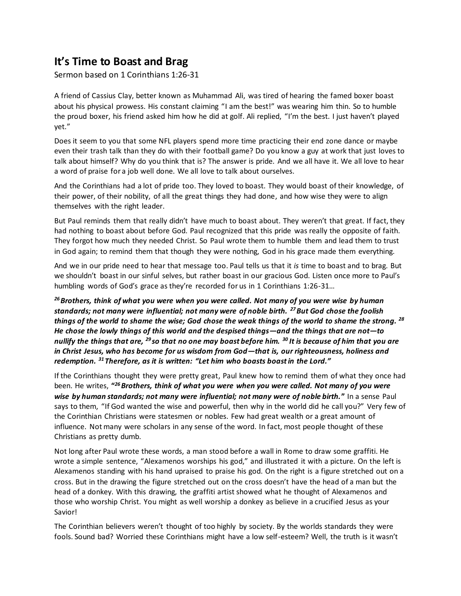## **It's Time to Boast and Brag**

Sermon based on 1 Corinthians 1:26-31

A friend of Cassius Clay, better known as Muhammad Ali, was tired of hearing the famed boxer boast about his physical prowess. His constant claiming "I am the best!" was wearing him thin. So to humble the proud boxer, his friend asked him how he did at golf. Ali replied, "I'm the best. I just haven't played yet."

Does it seem to you that some NFL players spend more time practicing their end zone dance or maybe even their trash talk than they do with their football game? Do you know a guy at work that just loves to talk about himself? Why do you think that is? The answer is pride. And we all have it. We all love to hear a word of praise for a job well done. We all love to talk about ourselves.

And the Corinthians had a lot of pride too. They loved to boast. They would boast of their knowledge, of their power, of their nobility, of all the great things they had done, and how wise they were to align themselves with the right leader.

But Paul reminds them that really didn't have much to boast about. They weren't that great. If fact, they had nothing to boast about before God. Paul recognized that this pride was really the opposite of faith. They forgot how much they needed Christ. So Paul wrote them to humble them and lead them to trust in God again; to remind them that though they were nothing, God in his grace made them everything.

And we in our pride need to hear that message too. Paul tells us that it *is* time to boast and to brag. But we shouldn't boast in our sinful selves, but rather boast in our gracious God. Listen once more to Paul's humbling words of God's grace as they're recorded for us in 1 Corinthians 1:26-31...

*<sup>26</sup>Brothers, think of what you were when you were called. Not many of you were wise by human standards; not many were influential; not many were of noble birth. <sup>27</sup>But God chose the foolish things of the world to shame the wise; God chose the weak things of the world to shame the strong. <sup>28</sup> He chose the lowly things of this world and the despised things—and the things that are not—to nullify the things that are, <sup>29</sup> so that no one may boast before him. <sup>30</sup> It is because of him that you are in Christ Jesus, who has become for us wisdom from God—that is, our righteousness, holiness and redemption. <sup>31</sup> Therefore, as it is written: "Let him who boasts boast in the Lord."*

If the Corinthians thought they were pretty great, Paul knew how to remind them of what they once had been. He writes, **"** *<sup>26</sup>Brothers, think of what you were when you were called. Not many of you were wise by human standards; not many were influential; not many were of noble birth.***"** In a sense Paul says to them, "If God wanted the wise and powerful, then why in the world did he call you?" Very few of the Corinthian Christians were statesmen or nobles. Few had great wealth or a great amount of influence. Not many were scholars in any sense of the word. In fact, most people thought of these Christians as pretty dumb.

Not long after Paul wrote these words, a man stood before a wall in Rome to draw some graffiti. He wrote a simple sentence, "Alexamenos worships his god," and illustrated it with a picture. On the left is Alexamenos standing with his hand upraised to praise his god. On the right is a figure stretched out on a cross. But in the drawing the figure stretched out on the cross doesn't have the head of a man but the head of a donkey. With this drawing, the graffiti artist showed what he thought of Alexamenos and those who worship Christ. You might as well worship a donkey as believe in a crucified Jesus as your Savior!

The Corinthian believers weren't thought of too highly by society. By the worlds standards they were fools. Sound bad? Worried these Corinthians might have a low self-esteem? Well, the truth is it wasn't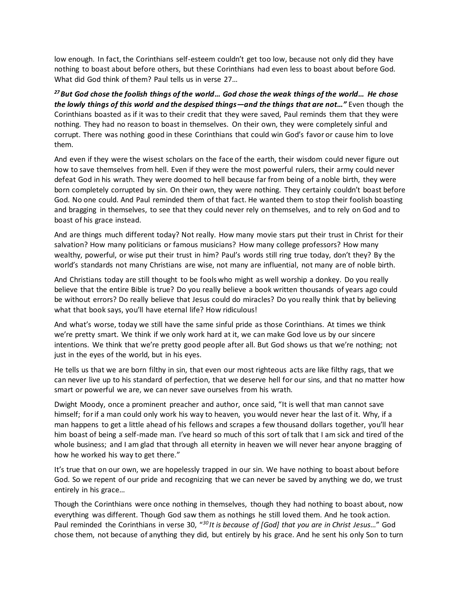low enough. In fact, the Corinthians self-esteem couldn't get too low, because not only did they have nothing to boast about before others, but these Corinthians had even less to boast about before God. What did God think of them? Paul tells us in verse 27…

*<sup>27</sup>But God chose the foolish things of the world… God chose the weak things of the world… He chose the lowly things of this world and the despised things—and the things that are not…"* Even though the Corinthians boasted as if it was to their credit that they were saved, Paul reminds them that they were nothing. They had no reason to boast in themselves. On their own, they were completely sinful and corrupt. There was nothing good in these Corinthians that could win God's favor or cause him to love them.

And even if they were the wisest scholars on the face of the earth, their wisdom could never figure out how to save themselves from hell. Even if they were the most powerful rulers, their army could never defeat God in his wrath. They were doomed to hell because far from being of a noble birth, they were born completely corrupted by sin. On their own, they were nothing. They certainly couldn't boast before God. No one could. And Paul reminded them of that fact. He wanted them to stop their foolish boasting and bragging in themselves, to see that they could never rely on themselves, and to rely on God and to boast of his grace instead.

And are things much different today? Not really. How many movie stars put their trust in Christ for their salvation? How many politicians or famous musicians? How many college professors? How many wealthy, powerful, or wise put their trust in him? Paul's words still ring true today, don't they? By the world's standards not many Christians are wise, not many are influential, not many are of noble birth.

And Christians today are still thought to be fools who might as well worship a donkey. Do you really believe that the entire Bible is true? Do you really believe a book written thousands of years ago could be without errors? Do really believe that Jesus could do miracles? Do you really think that by believing what that book says, you'll have eternal life? How ridiculous!

And what's worse, today we still have the same sinful pride as those Corinthians. At times we think we're pretty smart. We think if we only work hard at it, we can make God love us by our sincere intentions. We think that we're pretty good people after all. But God shows us that we're nothing; not just in the eyes of the world, but in his eyes.

He tells us that we are born filthy in sin, that even our most righteous acts are like filthy rags, that we can never live up to his standard of perfection, that we deserve hell for our sins, and that no matter how smart or powerful we are, we can never save ourselves from his wrath.

Dwight Moody, once a prominent preacher and author, once said, "It is well that man cannot save himself; for if a man could only work his way to heaven, you would never hear the last of it. Why, if a man happens to get a little ahead of his fellows and scrapes a few thousand dollars together, you'll hear him boast of being a self-made man. I've heard so much of this sort of talk that I am sick and tired of the whole business; and I am glad that through all eternity in heaven we will never hear anyone bragging of how he worked his way to get there."

It's true that on our own, we are hopelessly trapped in our sin. We have nothing to boast about before God. So we repent of our pride and recognizing that we can never be saved by anything we do, we trust entirely in his grace…

Though the Corinthians were once nothing in themselves, though they had nothing to boast about, now everything was different. Though God saw them as nothings he still loved them. And he took action. Paul reminded the Corinthians in verse 30, "*<sup>30</sup> It is because of [God] that you are in Christ Jesus…*" God chose them, not because of anything they did, but entirely by his grace. And he sent his only Son to turn